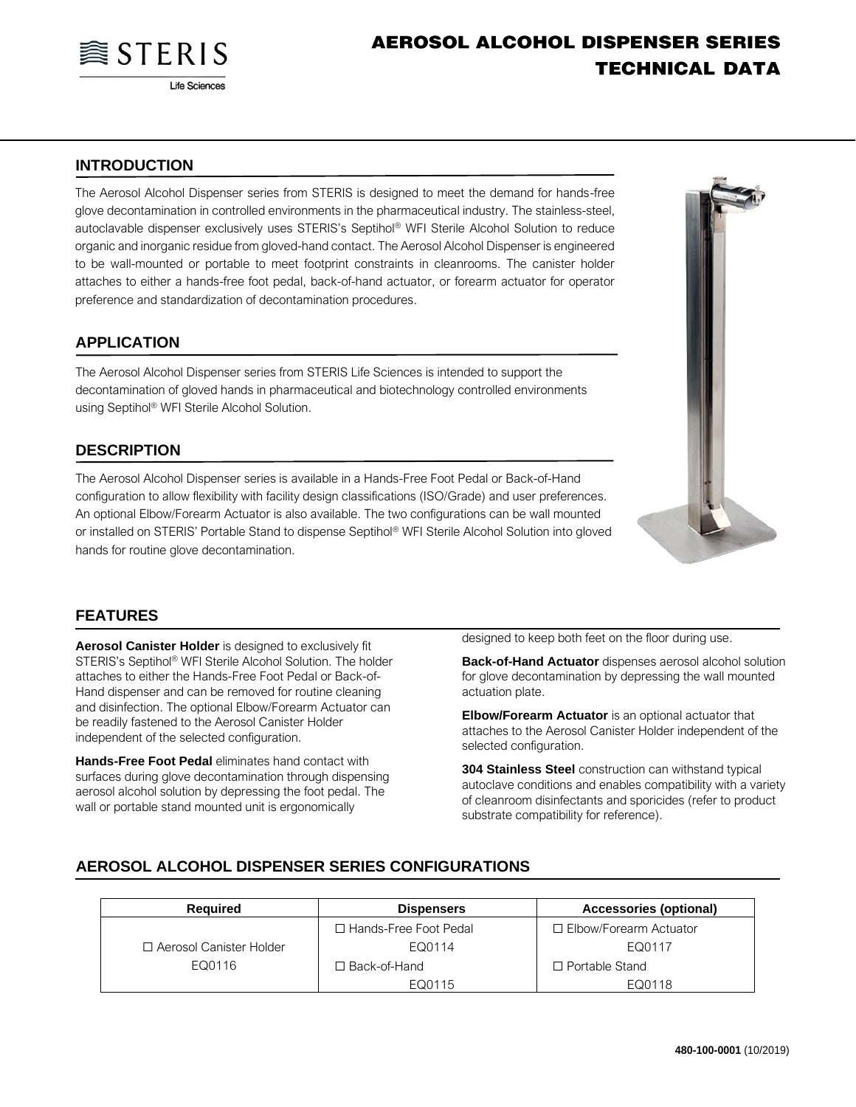

# **AEROSOL ALCOHOL DISPENSER SERIES TECHNICAL DATA**

### **INTRODUCTION**

The Aerosol Alcohol Dispenser series from STERIS is designed to meet the demand for hands-free glove decontamination in controlled environments in the pharmaceutical industry. The stainless-steel, autoclavable dispenser exclusively uses STERIS's Septihol® WFI Sterile Alcohol Solution to reduce organic and inorganic residue from gloved-hand contact. The Aerosol Alcohol Dispenser is engineered to be wall-mounted or portable to meet footprint constraints in cleanrooms. The canister holder attaches to either a hands-free foot pedal, back-of-hand actuator, or forearm actuator for operator preference and standardization of decontamination procedures.

#### **APPLICATION**

The Aerosol Alcohol Dispenser series from STERIS Life Sciences is intended to support the decontamination of gloved hands in pharmaceutical and biotechnology controlled environments using Septihol® WFI Sterile Alcohol Solution.

#### **DESCRIPTION**

The Aerosol Alcohol Dispenser series is available in a Hands-Free Foot Pedal or Back-of-Hand configuration to allow flexibility with facility design classifications (ISO/Grade) and user preferences. An optional Elbow/Forearm Actuator is also available. The two configurations can be wall mounted or installed on STERIS' Portable Stand to dispense Septihol® WFI Sterile Alcohol Solution into gloved hands for routine glove decontamination.



#### **FEATURES**

**Aerosol Canister Holder** is designed to exclusively fit STERIS's Septihol® WFI Sterile Alcohol Solution. The holder attaches to either the Hands-Free Foot Pedal or Back-of-Hand dispenser and can be removed for routine cleaning and disinfection. The optional Elbow/Forearm Actuator can be readily fastened to the Aerosol Canister Holder independent of the selected configuration.

**Hands-Free Foot Pedal** eliminates hand contact with surfaces during glove decontamination through dispensing aerosol alcohol solution by depressing the foot pedal. The wall or portable stand mounted unit is ergonomically

designed to keep both feet on the floor during use.

**Back-of-Hand Actuator** dispenses aerosol alcohol solution for glove decontamination by depressing the wall mounted actuation plate.

**Elbow/Forearm Actuator** is an optional actuator that attaches to the Aerosol Canister Holder independent of the selected configuration.

**304 Stainless Steel** construction can withstand typical autoclave conditions and enables compatibility with a variety of cleanroom disinfectants and sporicides (refer to product substrate compatibility for reference).

#### **AEROSOL ALCOHOL DISPENSER SERIES CONFIGURATIONS**

| Reauired                  | <b>Dispensers</b>       | Accessories (optional)   |
|---------------------------|-------------------------|--------------------------|
|                           | □ Hands-Free Foot Pedal | □ Elbow/Forearm Actuator |
| □ Aerosol Canister Holder | EQ0114                  | EQ0117                   |
| EQ0116                    | □ Back-of-Hand          | $\Box$ Portable Stand    |
|                           | EQ0115                  | EQ0118                   |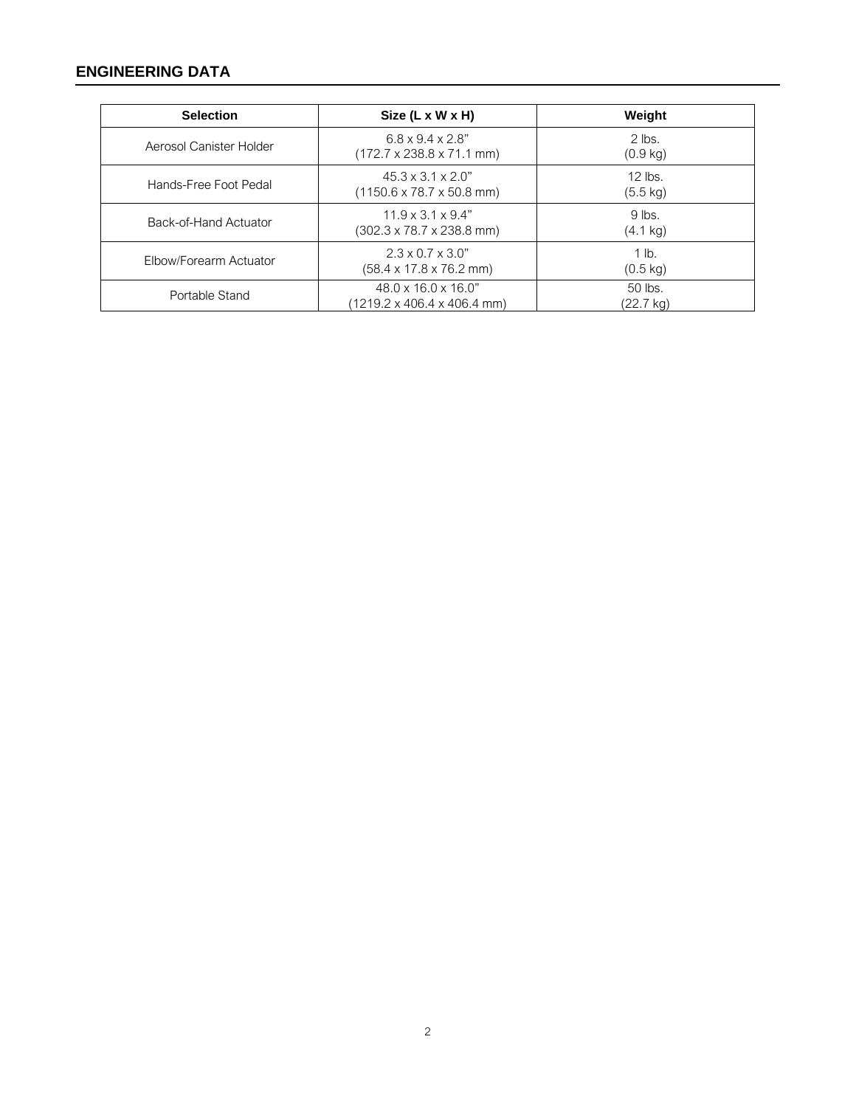## **ENGINEERING DATA**

| <b>Selection</b>        | Size $(L \times W \times H)$                                                    | Weight                          |
|-------------------------|---------------------------------------------------------------------------------|---------------------------------|
| Aerosol Canister Holder | $6.8 \times 9.4 \times 2.8$ "<br>$(172.7 \times 238.8 \times 71.1 \text{ mm})$  | $2$ lbs.<br>$(0.9 \text{ kg})$  |
| Hands-Free Foot Pedal   | $45.3 \times 3.1 \times 2.0$ "<br>$(1150.6 \times 78.7 \times 50.8 \text{ mm})$ | $12$ lbs.<br>$(5.5 \text{ kg})$ |
| Back-of-Hand Actuator   | $11.9 \times 3.1 \times 9.4$ "<br>$(302.3 \times 78.7 \times 238.8 \text{ mm})$ | $9$ lbs.<br>$(4.1 \text{ kg})$  |
| Elbow/Forearm Actuator  | $2.3 \times 0.7 \times 3.0$ "<br>$(58.4 \times 17.8 \times 76.2 \text{ mm})$    | $1$ lb.<br>$(0.5 \text{ kg})$   |
| Portable Stand          | $48.0 \times 16.0 \times 16.0$ "<br>(1219.2 x 406.4 x 406.4 mm)                 | 50 lbs.<br>(22.7 kg)            |